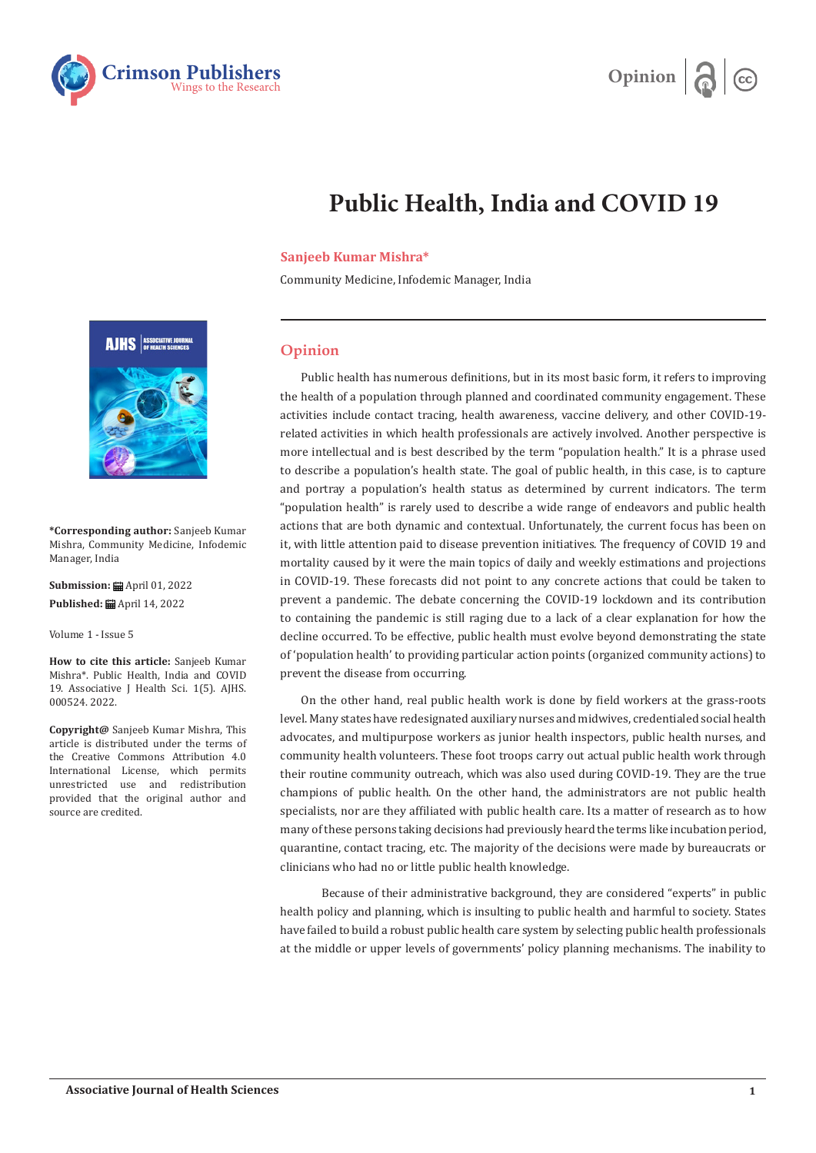



## **Public Health, India and COVID 19**

## **Sanjeeb Kumar Mishra\***

Community Medicine, Infodemic Manager, India

## **Opinion**

Public health has numerous definitions, but in its most basic form, it refers to improving the health of a population through planned and coordinated community engagement. These activities include contact tracing, health awareness, vaccine delivery, and other COVID-19 related activities in which health professionals are actively involved. Another perspective is more intellectual and is best described by the term "population health." It is a phrase used to describe a population's health state. The goal of public health, in this case, is to capture and portray a population's health status as determined by current indicators. The term "population health" is rarely used to describe a wide range of endeavors and public health actions that are both dynamic and contextual. Unfortunately, the current focus has been on it, with little attention paid to disease prevention initiatives. The frequency of COVID 19 and mortality caused by it were the main topics of daily and weekly estimations and projections in COVID-19. These forecasts did not point to any concrete actions that could be taken to prevent a pandemic. The debate concerning the COVID-19 lockdown and its contribution to containing the pandemic is still raging due to a lack of a clear explanation for how the decline occurred. To be effective, public health must evolve beyond demonstrating the state of 'population health' to providing particular action points (organized community actions) to prevent the disease from occurring.

On the other hand, real public health work is done by field workers at the grass-roots level. Many states have redesignated auxiliary nurses and midwives, credentialed social health advocates, and multipurpose workers as junior health inspectors, public health nurses, and community health volunteers. These foot troops carry out actual public health work through their routine community outreach, which was also used during COVID-19. They are the true champions of public health. On the other hand, the administrators are not public health specialists, nor are they affiliated with public health care. Its a matter of research as to how many of these persons taking decisions had previously heard the terms like incubation period, quarantine, contact tracing, etc. The majority of the decisions were made by bureaucrats or clinicians who had no or little public health knowledge.

 Because of their administrative background, they are considered "experts" in public health policy and planning, which is insulting to public health and harmful to society. States have failed to build a robust public health care system by selecting public health professionals at the middle or upper levels of governments' policy planning mechanisms. The inability to



**\*Corresponding author:** Sanjeeb Kumar Mishra, Community Medicine, Infodemic Manager, India

**Submission:** ■ April 01, 2022 Published: **曲** April 14, 2022

Volume 1 - Issue 5

**How to cite this article:** Sanjeeb Kumar Mishra\*. Public Health, India and COVID 19. Associative J Health Sci. 1(5). AJHS. 000524. 2022.

**Copyright@** Sanjeeb Kumar Mishra, This article is distributed under the terms of the Creative Commons Attribution 4.0 International License, which permits unrestricted use and redistribution provided that the original author and source are credited.